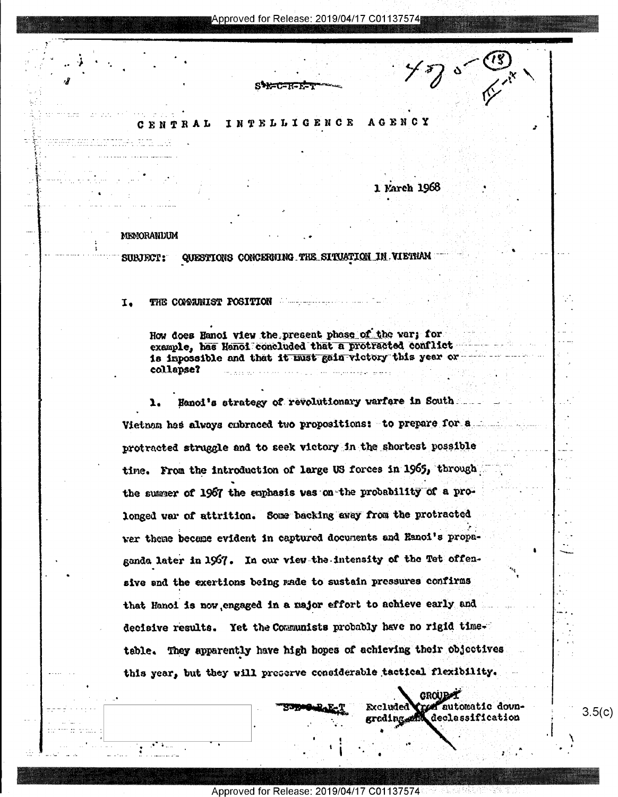### INTELLIGENCE **AGENCY** CENTRAL

1 Karch 1968

MEMORANDUM

QUESTIONS CONCERNING THE SITUATION IN VIETNAM SUBJECT:

THE COMMUNIST FOSITION **THE COMMUNIST FOSITION**  $I<sub>1</sub>$ 

> How does Hanoi view the present phase of the var; for example, has Hanoi concluded that a protracted conflict is impossible and that it must gain victory this year or collapse? والتجاس الفاؤه فأعطرتك التبدل بالإيارة التناديات

Hanol's strategy of revolutionary varfare in South Vietnam has always enbraced two propositions: to prepare for a protracted struggle and to seek victory in the shortest possible time. From the introduction of large US forces in 1965, through the summer of 1967 the emphasis was on the probability of a prolonged war of attrition. Some backing away from the protracted wer thene became evident in captured documents and Hanoi's propaganda later in 1967. In our view the intensity of the Tet offensive and the exertions being rade to sustain pressures confirms that Hanoi is now engaged in a major effort to achieve early and decisive results. Yet the Communists probably have no rigid timetable. They apparently have high hopes of achieving their objectives this year, but they will preserve considerable tactical flexibility.

> GROUB<sup>AY</sup> Creat automatic down-Excluded grading and declassification

 $3.5(c)$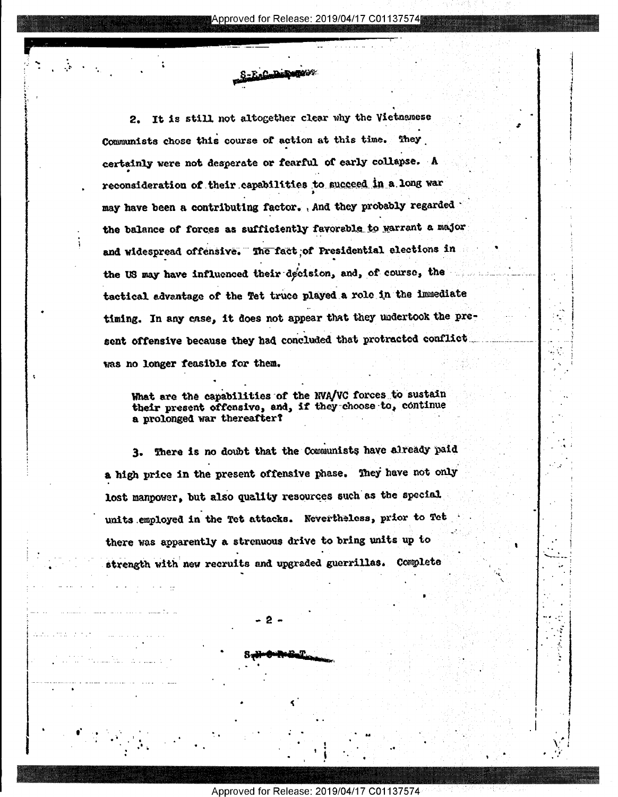It is still not altogether clear why the Vietnamese 2. Communists chose this course of action at this time. They certainly were not desperate or fearful of early collapse. A reconsideration of their capabilities to succeed in a long war may have been a contributing factor. And they probably regarded the balance of forces as sufficiently favorable to warrant a major and widespread offensive. The fact of Presidential elections in the US may have influenced their decision, and, of course, the tactical advantage of the Tet truce played a role in the immediate timing. In any case, it does not appear that they undertook the present offensive because they had concluded that protracted conflict was no longer feasible for them.

-E.C. D. Rugger

What are the capabilities of the NVA/VC forces to sustain their present offensive, and, if they choose to, continue a prolonged war thereafter?

There is no doubt that the Communists have already paid 3. a high price in the present offensive phase. They have not only lost manpower, but also quality resources such as the special units employed in the Tet attacks. Nevertheless, prior to Tet there was apparently a strenuous drive to bring units up to strength with new recruits and upgraded guerrillas. Complete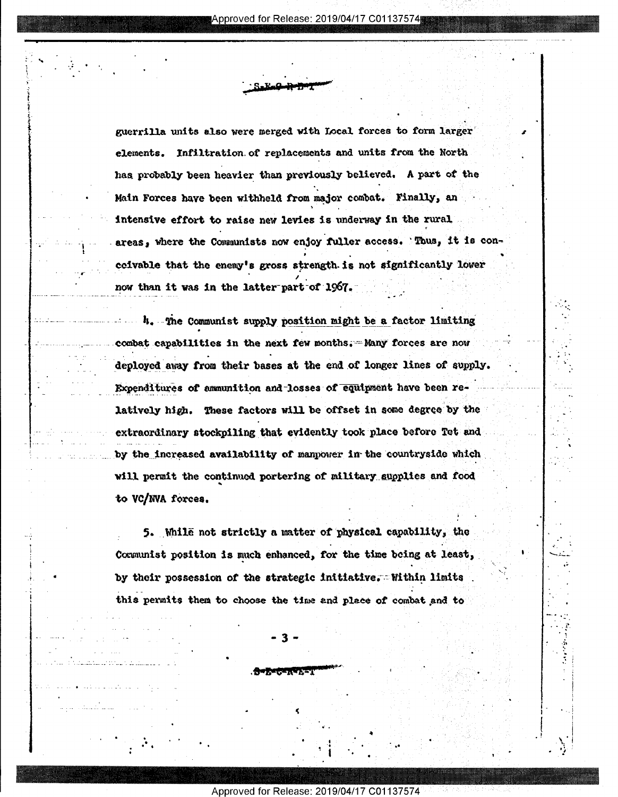guerrilla units also were merged with Local forces to form larger elements. Infiltration of replacements and units from the North has probably been heavier than previously believed. A part of the Main Forces have been withheld from major combat. Finally, an intensive effort to raise new levies is underway in the rural areas, where the Communists now enjoy fuller access. Thus, it is conccivable that the enemy's gross strength is not significantly lower now than it was in the latter part of 1967.

4. The Communist supply position might be a factor limiting combat capabilities in the next few months. Many forces are now deployed away from their bases at the end of longer lines of supply. Expenditures of ammunition and losses of equipment have been relatively high. These factors will be offset in some degree by the extraordinary stockpiling that evidently took place before Tet and by the increased availability of manpower in the countryside which will permit the continued portering of military supplies and food to VC/NVA forces.

5. While not strictly a matter of physical capability, the Communist position is much enhanced, for the time being at least, by their possession of the strategic initiative. Within limits this permits them to choose the time and place of combat and to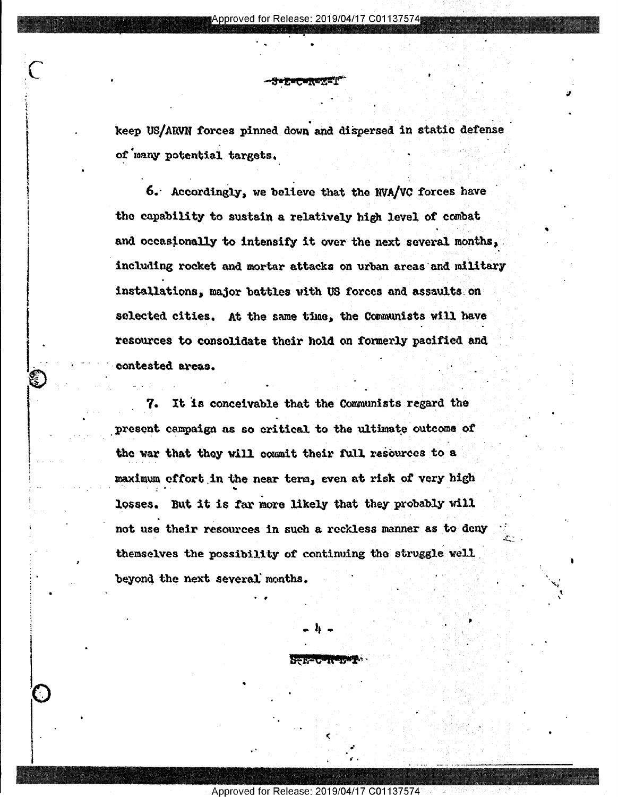$\bullet$  . The interaction of the contribution of the contribution of the contribution of the contribution of the contribution of the contribution of the contribution of the contribution of the contribution of the contributio

°

"

. .

~

S.

'2

keep US/ARVN forces pinned down and dispersed in static defense of many potential targets.

6. Accordingly, we believe that the NVA/VC forces have the capability to sustain a relatively high level of combat and occasionally to intensify it over the next several months, including rocket and mortar attacks on urban areas and military installations, major battles with US forces and assaults on selected cities. At the same time, the Communists will have resources to consolidate their hold on formerly pacified and contested axeas. ' A-  $\bullet$ .'

7. It is conceivable that the Communists regard the present campaign as so critical to the ultimate outcome of the war that they will commit their full resources to a maximum effort in the near term, even at risk of very high losses. But it is far more likely that they probably will not use their resources in such a reckless manner as to deny themselves the possibility of continuing the struggle well beyond the next several months.

 $\bullet$  (  $\bullet$  ) and the set of the set of the set of the set of the set of the set of the set of the set of the set of the set of the set of the set of the set of the set of the set of the set of the set of the set of the s

. .. .... .\_\_...

 $\bullet$   $\mathbf{A}$   $\bullet$  ( ) and ( ) and ( ) and ( ) and ( ) and ( ) and ( ) and ( ) and ( ) and ( ) and ( ) and ( ) and ( ) and ( ) and ( ) and ( ) and ( ) and ( ) and ( ) and ( ) and ( ) and ( ) and ( ) and ( ) and ( ) and (

\ .

I

 $\blacksquare$  . The contract of the contract of the contract of the contract of the contract of the contract of the contract of the contract of the contract of the contract of the contract of the contract of the contract of the

Approved for Release: 2019/04/17 C01

. , and the contract of the contract of  $\mathcal{O}(100)$  . The contract of the contract of the contract of the contract of the contract of the contract of the contract of the contract of the contract of the contract of the cont

 $\blacksquare$ 

. On the contract of the contract of the contract of the contract of the contract of the contract of the contract of

 $\mathcal{L} \subset \mathcal{L}$  , and the set of the set of the set of the set of the set of the set of the set of the set of the set of the set of the set of the set of the set of the set of the set of the set of the set of the set of

 $\ddot{\phantom{0}}$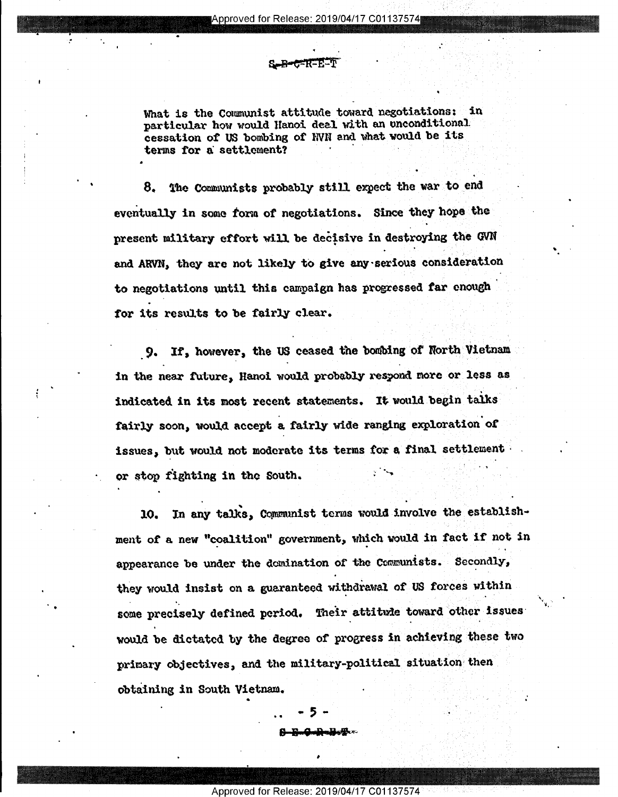What is the Communist attitude toward negotiations: in particular how would Hanoi deal with an unconditional cessation of US bombing of NVN and what would be its terms for a settlement?

The Communists probably still expect the war to end 8. eventually in some form of negotiations. Since they hope the present military effort will be decisive in destroying the GVN and ARVN, they are not likely to give any serious consideration to negotiations until this campaign has progressed far enough for its results to be fairly clear.

If, however, the US ceased the bombing of North Vietnam -9. in the near future, Hanoi would probably respond more or less as indicated in its most recent statements. It would begin talks fairly soon, would accept a fairly wide ranging exploration of issues, but would not moderate its terms for a final settlement or stop fighting in the South.

In any talks, Communist terms would involve the establish-10. ment of a new "coalition" government, which would in fact if not in appearance be under the demination of the Communists. Secondly, they would insist on a guaranteed withdrawal of US forces within some precisely defined period. Their attitude toward other issues would be dictated by the degree of progress in achieving these two primary objectives, and the military-political situation then obtaining in South Vietnam.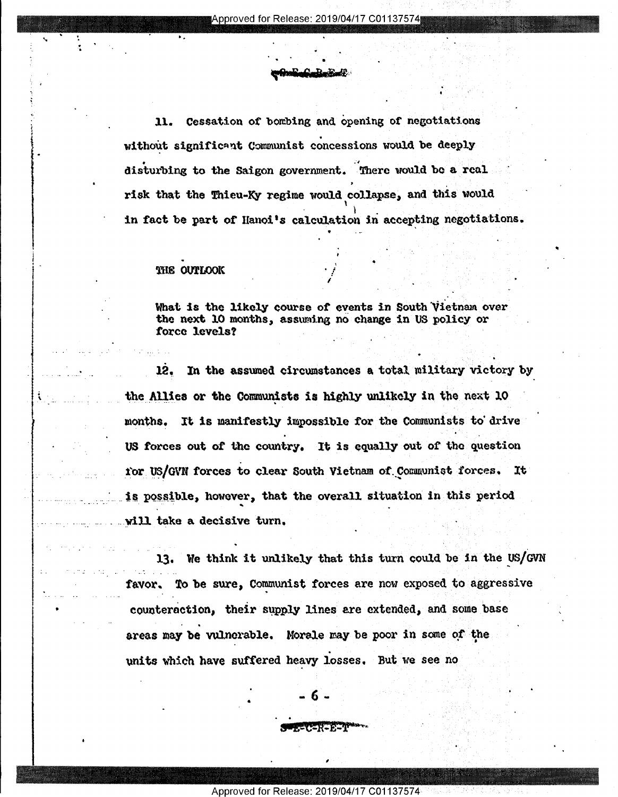Cessation of bombing and opening of negotiations 11. without significant Communist concessions would be deeply disturbing to the Saigon government. There would be a real risk that the Thieu-Ky regime would collapse, and this would in fact be part of Hanoi's calculation in accepting negotiations.

# THE OUTLOOK

What is the likely course of events in South Vietnam over the next 10 months, assuming no change in US policy or force levels?

12. In the assumed circumstances a total military victory by the Allies or the Communists is highly unlikely in the next 10 months. It is manifestly impossible for the Communists to drive US forces out of the country. It is equally out of the question for US/GVN forces to clear South Vietnam of Communist forces. It is possible, however, that the overall situation in this period will take a decisive turn.

13. We think it unlikely that this turn could be in the US/GVN To be sure, Communist forces are now exposed to aggressive favor. counteraction, their supply lines are extended, and some base areas may be vulnerable. Morale may be poor in some of the units which have suffered heavy losses. But we see no

Approved for Release: 2019/04/17 C01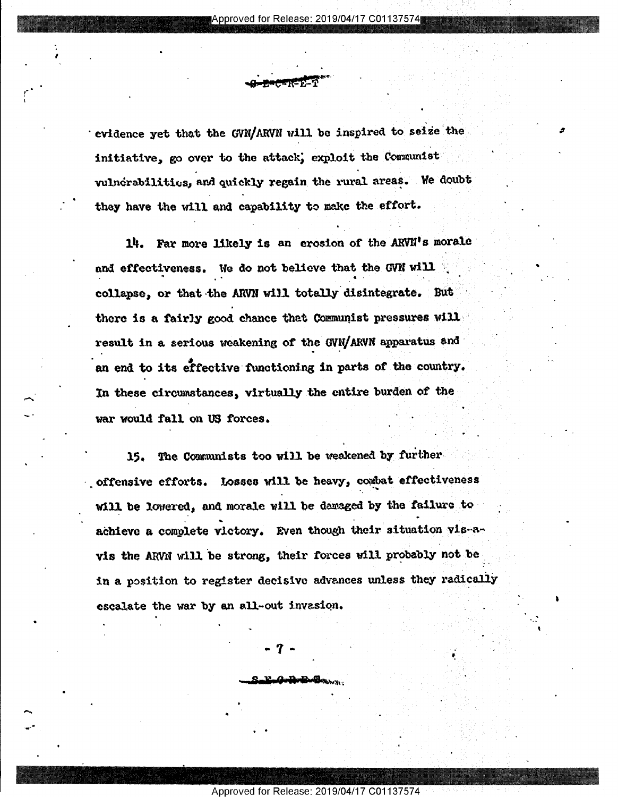evidence yet that the GVN/ARVN will be inspired to seize the initiative, go over to the attack, exploit the Communist vulnerabilities, and quickly regain the rural areas. We doubt they have the will and capability to make the effort.

Far more likely is an erosion of the ARVN's morale 14. and effectiveness. We do not believe that the GVN will collapse, or that the ARVN will totally disintegrate. But there is a fairly good chance that Communist pressures will result in a serious weakening of the GVN/ARVN apparatus and an end to its effective functioning in parts of the country. In these circumstances, virtually the entire burden of the war would fall on US forces.

The Communists too will be weakened by further 15. offensive efforts. Losses will be heavy, combat effectiveness will be lowered, and morale will be damaged by the failure to achieve a complete victory. Even though their situation vis-avis the ARVN will be strong, their forces will probably not be in a position to register decisive advances unless they radically escalate the war by an all-out invasion.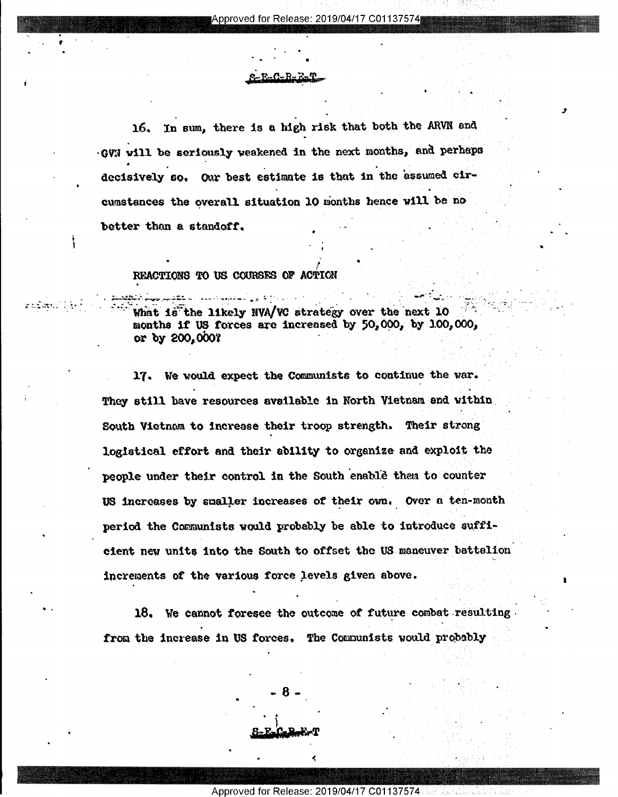16. In sum, there is a high risk that both the ARVN and GVN will be seriously weakened in the next months, and perhaps decisively so. Our best estimate is that in the assumed circumstances the overall situation 10 months hence will be no better than a standoff.

# REACTIONS TO US COURSES OF ACTION

the likely NVA/VC strategy over the next What is months if US forces are increased by 50,000, by 100,000, or by 200,000?

17. We would expect the Communists to continue the war. They still have resources available in North Vietnam and within South Vietnam to increase their troop strength. Their strong logistical effort and their ability to organize and exploit the people under their control in the South enable them to counter US increases by smaller increases of their own. Over a ten-month period the Communists would probably be able to introduce sufficient new units into the South to offset the US maneuver battalion increments of the various force levels given above.

18. We cannot foresee the outcome of future combat resulting. from the increase in US forces. The Communists would probably

Approved for Release: 2019/04/17 C01137574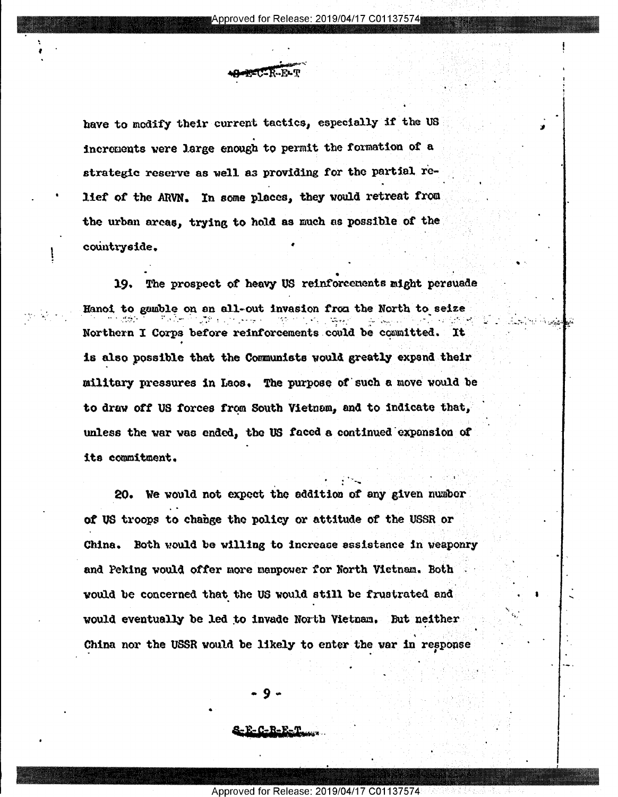have to modify their current tactics, especially if the US increments were large enough to permit the formation of a strategic reserve as well as providing for the partial relief of the ARVN. In some places, they would retreat from the urban areas, trying to hold as much as possible of the countryside.

19. The prospect of heavy US reinforcements might persuade Hanoi to gamble on an all-out invasion from the North to seize Northern I Corps before reinforcements could be committed. **It** is also possible that the Communists would greatly expand their military pressures in Laos. The purpose of such a move would be to draw off US forces from South Vietnem, and to indicate that, unless the war was ended, the US faced a continued expansion of its commitment.

20. We would not expect the addition of any given number of US troops to change the policy or attitude of the USSR or China. Both would be willing to increase assistance in weaponry and Peking would offer more manpower for North Vietnam. Both would be concerned that the US would still be frustrated and would eventually be led to invade North Vietnam. But neither China nor the USSR would be likely to enter the war in response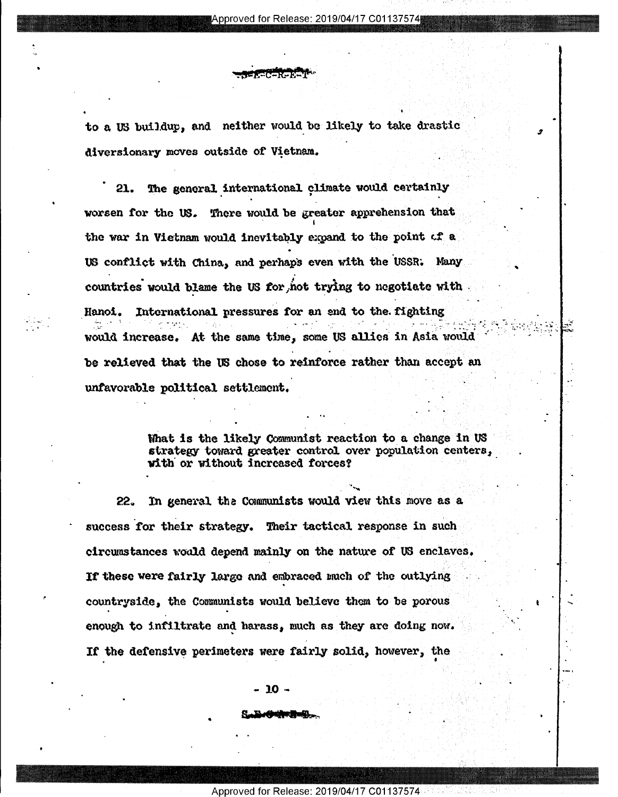to a US buildup, and neither would be likely to take drastic diversionary moves outside of Vietnam.

(CR) 20

The general international climate would certainly 21. worsen for the US. There would be greater apprehension that the war in Vietnam would inevitably expand to the point of a US conflict with China, and perhaps even with the USSR. Many countries would blame the US for not trying to negotiate with International pressures for an end to the fighting Hanoi. would increase. At the same time, some US allies in Asia would be relieved that the US chose to reinforce rather than accept an unfavorable political settlement.

> What is the likely Communist reaction to a change in US strategy toward greater control over population centers, with or without increased forces?

In general the Communists would view this move as a 22. success for their strategy. Their tactical response in such circumstances would depend mainly on the nature of US enclaves. If these were fairly large and embraced much of the outlying countryside, the Communists would believe them to be porous enough to infiltrate and harass, much as they are doing now. If the defensive perimeters were fairly solid, however, the

- 10 -

dialistik